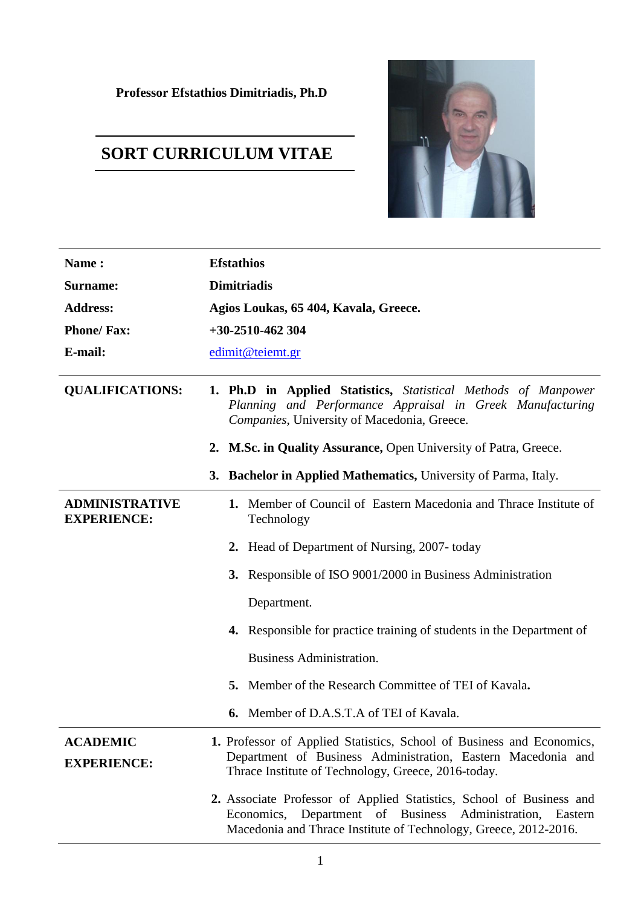## **SORT CURRICULUM VITAE**



| Name:                                       | <b>Efstathios</b>                                                                                                                                                                                           |  |  |
|---------------------------------------------|-------------------------------------------------------------------------------------------------------------------------------------------------------------------------------------------------------------|--|--|
| <b>Surname:</b>                             | <b>Dimitriadis</b>                                                                                                                                                                                          |  |  |
| <b>Address:</b>                             | Agios Loukas, 65 404, Kavala, Greece.                                                                                                                                                                       |  |  |
| <b>Phone/Fax:</b>                           | $+30-2510-462304$                                                                                                                                                                                           |  |  |
| E-mail:                                     | edimit@teiemt.gr                                                                                                                                                                                            |  |  |
| <b>QUALIFICATIONS:</b>                      | <b>1. Ph.D in Applied Statistics,</b> Statistical Methods of Manpower<br>Planning and Performance Appraisal in Greek Manufacturing<br>Companies, University of Macedonia, Greece.                           |  |  |
|                                             | 2. M.Sc. in Quality Assurance, Open University of Patra, Greece.                                                                                                                                            |  |  |
|                                             | 3. Bachelor in Applied Mathematics, University of Parma, Italy.                                                                                                                                             |  |  |
| <b>ADMINISTRATIVE</b><br><b>EXPERIENCE:</b> | 1. Member of Council of Eastern Macedonia and Thrace Institute of<br>Technology                                                                                                                             |  |  |
|                                             | 2. Head of Department of Nursing, 2007-today                                                                                                                                                                |  |  |
|                                             | 3. Responsible of ISO 9001/2000 in Business Administration                                                                                                                                                  |  |  |
|                                             | Department.                                                                                                                                                                                                 |  |  |
|                                             | <b>4.</b> Responsible for practice training of students in the Department of                                                                                                                                |  |  |
|                                             | <b>Business Administration.</b>                                                                                                                                                                             |  |  |
|                                             | Member of the Research Committee of TEI of Kavala.<br>5.                                                                                                                                                    |  |  |
|                                             | <b>6.</b> Member of D.A.S.T.A of TEI of Kavala.                                                                                                                                                             |  |  |
| <b>ACADEMIC</b><br><b>EXPERIENCE:</b>       | 1. Professor of Applied Statistics, School of Business and Economics,<br>Department of Business Administration, Eastern Macedonia and<br>Thrace Institute of Technology, Greece, 2016-today.                |  |  |
|                                             | 2. Associate Professor of Applied Statistics, School of Business and<br>Economics, Department of Business<br>Administration,<br>Eastern<br>Macedonia and Thrace Institute of Technology, Greece, 2012-2016. |  |  |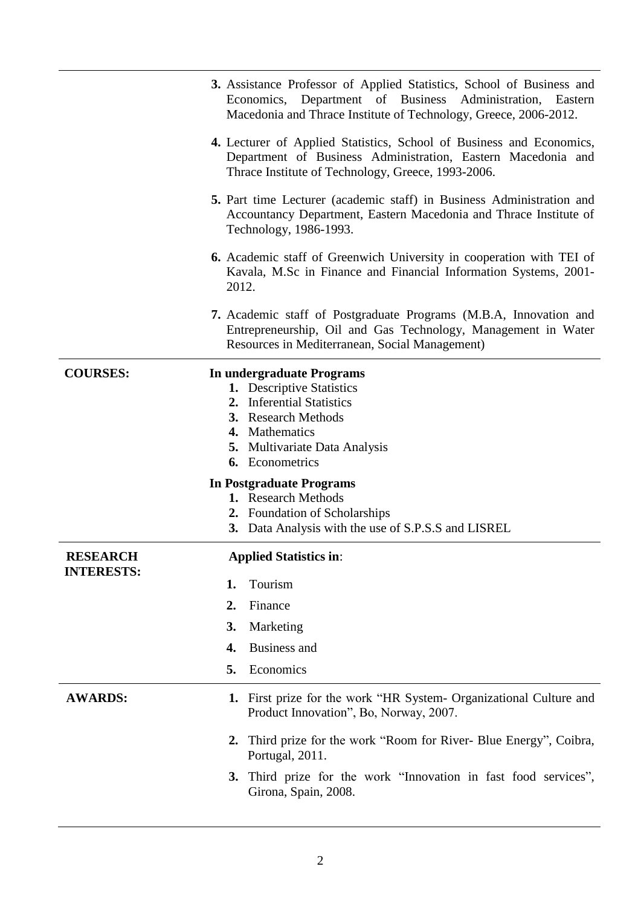|                         | 3. Assistance Professor of Applied Statistics, School of Business and<br>Economics, Department of Business Administration, Eastern<br>Macedonia and Thrace Institute of Technology, Greece, 2006-2012.                                                                                                                                           |
|-------------------------|--------------------------------------------------------------------------------------------------------------------------------------------------------------------------------------------------------------------------------------------------------------------------------------------------------------------------------------------------|
|                         | 4. Lecturer of Applied Statistics, School of Business and Economics,<br>Department of Business Administration, Eastern Macedonia and<br>Thrace Institute of Technology, Greece, 1993-2006.                                                                                                                                                       |
|                         | 5. Part time Lecturer (academic staff) in Business Administration and<br>Accountancy Department, Eastern Macedonia and Thrace Institute of<br>Technology, 1986-1993.                                                                                                                                                                             |
|                         | <b>6.</b> Academic staff of Greenwich University in cooperation with TEI of<br>Kavala, M.Sc in Finance and Financial Information Systems, 2001-<br>2012.                                                                                                                                                                                         |
|                         | <b>7.</b> Academic staff of Postgraduate Programs (M.B.A, Innovation and<br>Entrepreneurship, Oil and Gas Technology, Management in Water<br>Resources in Mediterranean, Social Management)                                                                                                                                                      |
| <b>COURSES:</b>         | In undergraduate Programs<br>1. Descriptive Statistics<br>2. Inferential Statistics<br><b>3.</b> Research Methods<br>4. Mathematics<br>5. Multivariate Data Analysis<br><b>6.</b> Econometrics<br><b>In Postgraduate Programs</b><br>1. Research Methods<br>2. Foundation of Scholarships<br>3. Data Analysis with the use of S.P.S.S and LISREL |
| <b>RESEARCH</b>         | <b>Applied Statistics in:</b>                                                                                                                                                                                                                                                                                                                    |
| <b>INTERESTS:</b><br>1. | Tourism                                                                                                                                                                                                                                                                                                                                          |
| 2.                      | Finance                                                                                                                                                                                                                                                                                                                                          |
| 3.                      | Marketing                                                                                                                                                                                                                                                                                                                                        |
| 4.                      | <b>Business and</b>                                                                                                                                                                                                                                                                                                                              |
| 5.                      | Economics                                                                                                                                                                                                                                                                                                                                        |
| <b>AWARDS:</b>          | 1. First prize for the work "HR System- Organizational Culture and<br>Product Innovation", Bo, Norway, 2007.                                                                                                                                                                                                                                     |
|                         | 2. Third prize for the work "Room for River- Blue Energy", Coibra,<br>Portugal, 2011.                                                                                                                                                                                                                                                            |
|                         | 3. Third prize for the work "Innovation in fast food services",<br>Girona, Spain, 2008.                                                                                                                                                                                                                                                          |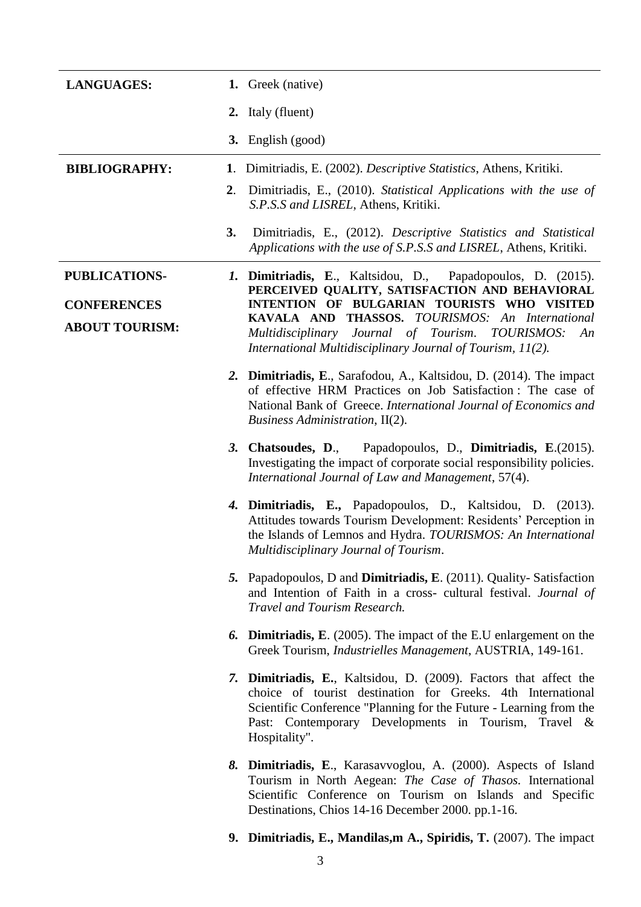| <b>LANGUAGES:</b>                           |             | 1. Greek (native)                                                                                                                                                                                                                                                               |
|---------------------------------------------|-------------|---------------------------------------------------------------------------------------------------------------------------------------------------------------------------------------------------------------------------------------------------------------------------------|
|                                             |             | 2. Italy (fluent)                                                                                                                                                                                                                                                               |
|                                             |             | 3. English (good)                                                                                                                                                                                                                                                               |
| <b>BIBLIOGRAPHY:</b>                        | 1.          | Dimitriadis, E. (2002). <i>Descriptive Statistics</i> , Athens, Kritiki.                                                                                                                                                                                                        |
|                                             | $2_{\cdot}$ | Dimitriadis, E., (2010). Statistical Applications with the use of<br>S.P.S.S and LISREL, Athens, Kritiki.                                                                                                                                                                       |
|                                             | 3.          | Dimitriadis, E., (2012). Descriptive Statistics and Statistical<br>Applications with the use of S.P.S.S and LISREL, Athens, Kritiki.                                                                                                                                            |
| <b>PUBLICATIONS-</b>                        |             | <i>I.</i> Dimitriadis, E., Kaltsidou, D., Papadopoulos, D. (2015).<br>PERCEIVED QUALITY, SATISFACTION AND BEHAVIORAL                                                                                                                                                            |
| <b>CONFERENCES</b><br><b>ABOUT TOURISM:</b> |             | INTENTION OF BULGARIAN TOURISTS WHO VISITED<br>KAVALA AND THASSOS. TOURISMOS: An International<br>Multidisciplinary Journal of Tourism. TOURISMOS:<br>An<br>International Multidisciplinary Journal of Tourism, 11(2).                                                          |
|                                             |             | 2. Dimitriadis, E., Sarafodou, A., Kaltsidou, D. (2014). The impact<br>of effective HRM Practices on Job Satisfaction: The case of<br>National Bank of Greece. International Journal of Economics and<br>Business Administration, II(2).                                        |
|                                             |             | 3. Chatsoudes, D., Papadopoulos, D., Dimitriadis, E.(2015).<br>Investigating the impact of corporate social responsibility policies.<br>International Journal of Law and Management, 57(4).                                                                                     |
|                                             |             | 4. Dimitriadis, E., Papadopoulos, D., Kaltsidou, D. (2013).<br>Attitudes towards Tourism Development: Residents' Perception in<br>the Islands of Lemnos and Hydra. TOURISMOS: An International<br>Multidisciplinary Journal of Tourism.                                         |
|                                             |             | 5. Papadopoulos, D and <b>Dimitriadis, E</b> . (2011). Quality-Satisfaction<br>and Intention of Faith in a cross- cultural festival. Journal of<br>Travel and Tourism Research.                                                                                                 |
|                                             |             | <b>6. Dimitriadis, E.</b> (2005). The impact of the E.U enlargement on the<br>Greek Tourism, Industrielles Management, AUSTRIA, 149-161.                                                                                                                                        |
|                                             |             | 7. Dimitriadis, E., Kaltsidou, D. (2009). Factors that affect the<br>choice of tourist destination for Greeks. 4th International<br>Scientific Conference "Planning for the Future - Learning from the<br>Past: Contemporary Developments in Tourism, Travel &<br>Hospitality". |
|                                             |             | 8. Dimitriadis, E., Karasavvoglou, A. (2000). Aspects of Island<br>Tourism in North Aegean: The Case of Thasos. International<br>Scientific Conference on Tourism on Islands and Specific<br>Destinations, Chios 14-16 December 2000. pp.1-16.                                  |

**9. Dimitriadis, E., Mandilas,m A., Spiridis, T.** (2007). The impact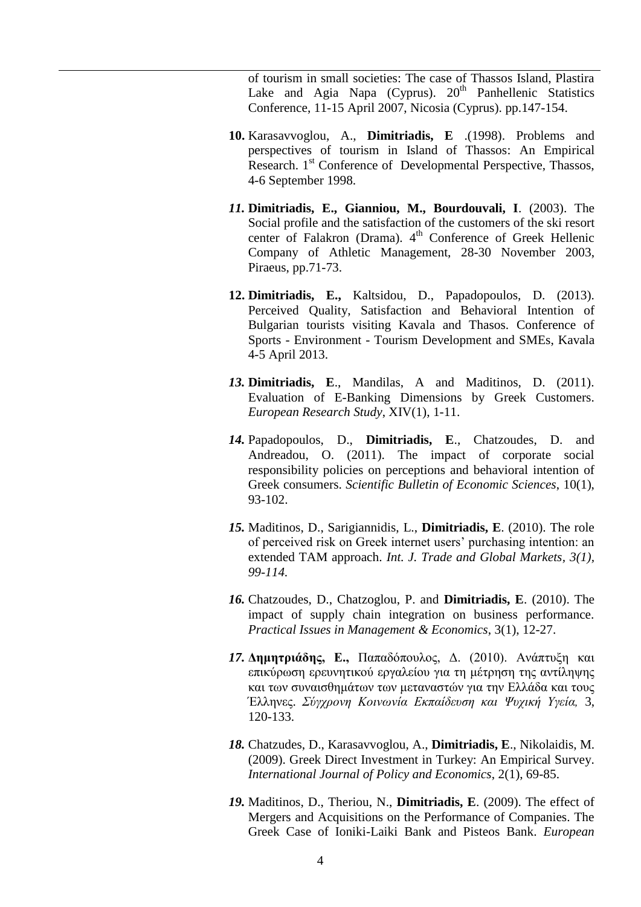of tourism in small societies: The case of Thassos Island, Plastira Lake and Agia Napa (Cyprus).  $20<sup>th</sup>$  Panhellenic Statistics Conference, 11-15 April 2007, Nicosia (Cyprus). pp.147-154.

- **10.** Karasavvoglou, A., **Dimitriadis, E** .(1998). Problems and perspectives of tourism in Island of Thassos: An Empirical Research. 1<sup>st</sup> Conference of Developmental Perspective, Thassos, 4-6 September 1998.
- *11.* **Dimitriadis, E., Gianniou, M., Bourdouvali, I**. (2003). The Social profile and the satisfaction of the customers of the ski resort center of Falakron (Drama). 4<sup>th</sup> Conference of Greek Hellenic Company of Athletic Management, 28-30 November 2003, Piraeus, pp.71-73.
- **12. Dimitriadis, E.,** Kaltsidou, D., Papadopoulos, D. (2013). Perceived Quality, Satisfaction and Behavioral Intention of Bulgarian tourists visiting Kavala and Thasos. Conference of Sports - Environment - Tourism Development and SMEs, Kavala 4-5 April 2013.
- *13.* **Dimitriadis, E**., Mandilas, A and Maditinos, D. (2011). Evaluation of E-Banking Dimensions by Greek Customers. *European Research Study*, XIV(1), 1-11.
- *14.* Papadopoulos, D., **Dimitriadis, E**., Chatzoudes, D. and Andreadou, O. (2011). The impact of corporate social responsibility policies on perceptions and behavioral intention of Greek consumers. *Scientific Bulletin of Economic Sciences*, 10(1), 93-102.
- *15.* Maditinos, D., Sarigiannidis, L., **Dimitriadis, E**. (2010). The role of perceived risk on Greek internet users" purchasing intention: an extended TAM approach. *Int. J. Trade and Global Markets, 3(1), 99-114.*
- *16.* Chatzoudes, D., Chatzoglou, P. and **Dimitriadis, E**. (2010). The impact of supply chain integration on business performance. *Practical Issues in Management & Economics*, 3(1), 12-27.
- 17. Δημητριάδης, Ε., Παπαδόπουλος, Δ. (2010). Ανάπτυξη και επικύρωση ερευνητικού εργαλείου για τη μέτρηση της αντίληψης και των συναισθημάτων των μεταναστών για την Ελλάδα και τους Έλληνερ. *Σύγχρονη Κοινωνία Εκπαίδευζη και Ψυχική Υγεία,* 3, 120-133.
- *18.* Chatzudes, D., Karasavvoglou, A., **Dimitriadis, E**., Nikolaidis, M. (2009). Greek Direct Investment in Turkey: An Empirical Survey. *International Journal of Policy and Economics*, 2(1), 69-85.
- *19.* Maditinos, D., Theriou, N., **Dimitriadis, E**. (2009). The effect of Mergers and Acquisitions on the Performance of Companies. The Greek Case of Ioniki-Laiki Bank and Pisteos Bank. *European*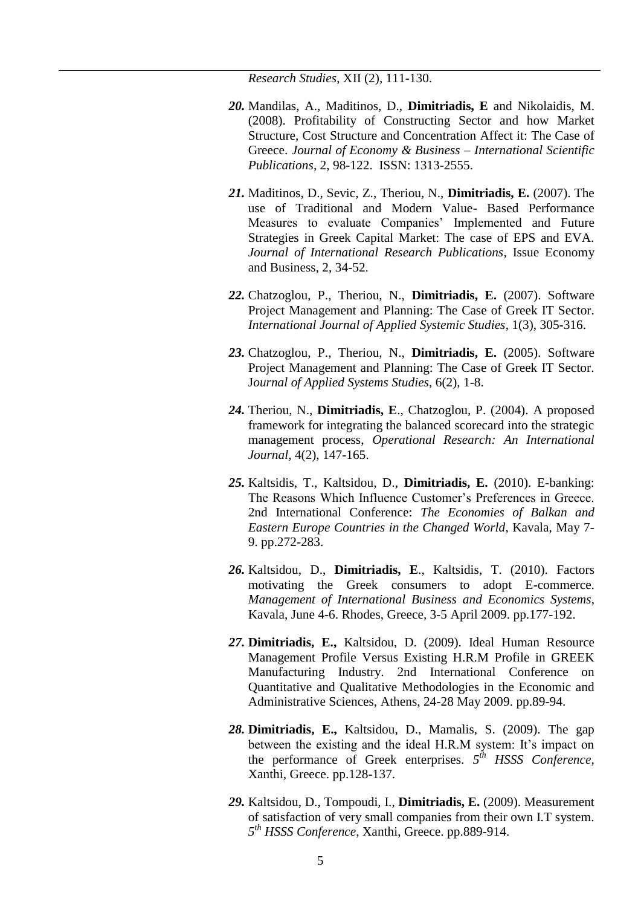*Research Studies*, XII (2), 111-130.

- *20.* Mandilas, A., Maditinos, D., **Dimitriadis, E** and Nikolaidis, M. (2008). Profitability of Constructing Sector and how Market Structure, Cost Structure and Concentration Affect it: The Case of Greece. *Journal of Economy & Business – International Scientific Publications*, 2, 98-122. ISSN: 1313-2555.
- *21.* Μaditinos, D., Sevic, Z., Theriou, N., **Dimitriadis, E.** (2007). The use of Traditional and Modern Value- Based Performance Measures to evaluate Companies' Implemented and Future Strategies in Greek Capital Market: The case of EPS and EVA. *Journal of International Research Publications*, Issue Economy and Business, 2, 34-52.
- *22.* Chatzoglou, P., Theriou, N., **Dimitriadis, E.** (2007). Software Project Management and Planning: The Case of Greek IT Sector. *International Journal of Applied Systemic Studies*, 1(3), 305-316.
- *23.* Chatzoglou, P., Theriou, N., **Dimitriadis, E.** (2005). Software Project Management and Planning: The Case of Greek IT Sector. J*ournal of Applied Systems Studies*, 6(2), 1-8.
- *24.* Theriou, N., **Dimitriadis, E**., Chatzoglou, P. (2004). A proposed framework for integrating the balanced scorecard into the strategic management process, *Operational Research: An International Journal*, 4(2), 147-165.
- *25.* Kaltsidis, T., Kaltsidou, D., **Dimitriadis, E.** (2010). E-banking: The Reasons Which Influence Customer"s Preferences in Greece. 2nd International Conference: *The Economies of Balkan and Eastern Europe Countries in the Changed World*, Kavala, May 7- 9. pp.272-283.
- *26.* Kaltsidou, D., **Dimitriadis, E**., Kaltsidis, T. (2010). Factors motivating the Greek consumers to adopt E-commerce. *Management of International Business and Economics Systems*, Kavala, June 4-6. Rhodes, Greece, 3-5 April 2009. pp.177-192.
- *27.* **Dimitriadis, E.,** Kaltsidou, D. (2009). Ideal Human Resource Management Profile Versus Existing H.R.M Profile in GREEK Manufacturing Industry. 2nd International Conference on Quantitative and Qualitative Methodologies in the Economic and Administrative Sciences, Athens, 24-28 May 2009. pp.89-94.
- *28.* **Dimitriadis, E.,** Kaltsidou, D., Mamalis, S. (2009). The gap between the existing and the ideal H.R.M system: It's impact on the performance of Greek enterprises. *5 th HSSS Conference*, Xanthi, Greece. pp.128-137.
- *29.* Kaltsidou, D., Tompoudi, I., **Dimitriadis, E.** (2009). Measurement of satisfaction of very small companies from their own I.T system. *5 th HSSS Conference*, Xanthi, Greece. pp.889-914.